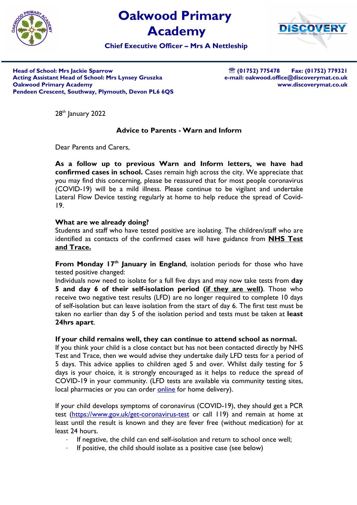

# Oakwood Primary Academy



Chief Executive Officer – Mrs A Nettleship

Head of School: Mrs Jackie Sparrow Acting Assistant Head of School: Mrs Lynsey Gruszka Oakwood Primary Academy Pendeen Crescent, Southway, Plymouth, Devon PL6 6QS

<sup>3</sup> (01752) 775478 Fax: (01752) 779321 e-mail: oakwood.office@discoverymat.co.uk www.discoverymat.co.uk

28<sup>th</sup> January 2022

## Advice to Parents - Warn and Inform

Dear Parents and Carers,

As a follow up to previous Warn and Inform letters, we have had confirmed cases in school. Cases remain high across the city. We appreciate that you may find this concerning, please be reassured that for most people coronavirus (COVID-19) will be a mild illness. Please continue to be vigilant and undertake Lateral Flow Device testing regularly at home to help reduce the spread of Covid-19.

### What are we already doing?

Students and staff who have tested positive are isolating. The children/staff who are identified as contacts of the confirmed cases will have guidance from **NHS Test** and Trace.

From Monday  $17<sup>th</sup>$  January in England, isolation periods for those who have tested positive changed:

Individuals now need to isolate for a full five days and may now take tests from day 5 and day 6 of their self-isolation period (if they are well). Those who receive two negative test results (LFD) are no longer required to complete 10 days of self-isolation but can leave isolation from the start of day 6. The first test must be taken no earlier than day 5 of the isolation period and tests must be taken at least 24hrs apart.

### If your child remains well, they can continue to attend school as normal.

If you think your child is a close contact but has not been contacted directly by NHS Test and Trace, then we would advise they undertake daily LFD tests for a period of 5 days. This advice applies to children aged 5 and over. Whilst daily testing for 5 days is your choice, it is strongly encouraged as it helps to reduce the spread of COVID-19 in your community. (LFD tests are available via community testing sites, local pharmacies or you can order online for home delivery).

If your child develops symptoms of coronavirus (COVID-19), they should get a PCR test (https://www.gov.uk/get-coronavirus-test or call 119) and remain at home at least until the result is known and they are fever free (without medication) for at least 24 hours.

- If negative, the child can end self-isolation and return to school once well;
- If positive, the child should isolate as a positive case (see below)